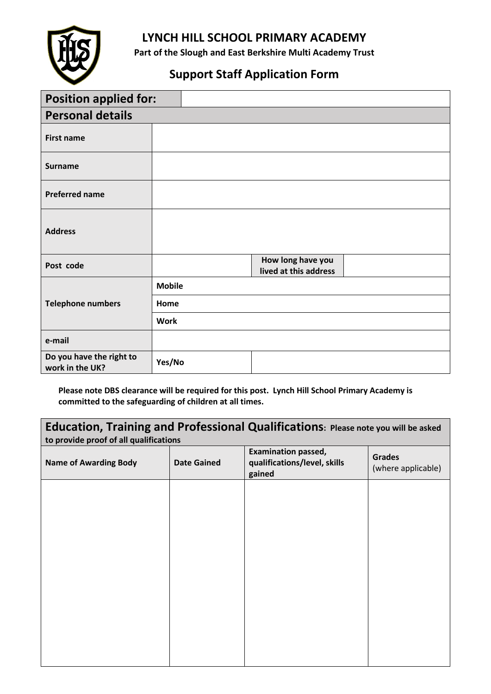

## **LYNCH HILL SCHOOL PRIMARY ACADEMY**

**Part of the Slough and East Berkshire Multi Academy Trust**

# **Support Staff Application Form**

| <b>Position applied for:</b>                |               |                                            |  |
|---------------------------------------------|---------------|--------------------------------------------|--|
| <b>Personal details</b>                     |               |                                            |  |
| <b>First name</b>                           |               |                                            |  |
| <b>Surname</b>                              |               |                                            |  |
| <b>Preferred name</b>                       |               |                                            |  |
| <b>Address</b>                              |               |                                            |  |
| Post code                                   |               | How long have you<br>lived at this address |  |
|                                             | <b>Mobile</b> |                                            |  |
| <b>Telephone numbers</b>                    | Home          |                                            |  |
|                                             | <b>Work</b>   |                                            |  |
| e-mail                                      |               |                                            |  |
| Do you have the right to<br>work in the UK? | Yes/No        |                                            |  |

**Please note DBS clearance will be required for this post. Lynch Hill School Primary Academy is committed to the safeguarding of children at all times.**

| Education, Training and Professional Qualifications: Please note you will be asked<br>to provide proof of all qualifications |                    |                                                                      |                                     |
|------------------------------------------------------------------------------------------------------------------------------|--------------------|----------------------------------------------------------------------|-------------------------------------|
| <b>Name of Awarding Body</b>                                                                                                 | <b>Date Gained</b> | <b>Examination passed,</b><br>qualifications/level, skills<br>gained | <b>Grades</b><br>(where applicable) |
|                                                                                                                              |                    |                                                                      |                                     |
|                                                                                                                              |                    |                                                                      |                                     |
|                                                                                                                              |                    |                                                                      |                                     |
|                                                                                                                              |                    |                                                                      |                                     |
|                                                                                                                              |                    |                                                                      |                                     |
|                                                                                                                              |                    |                                                                      |                                     |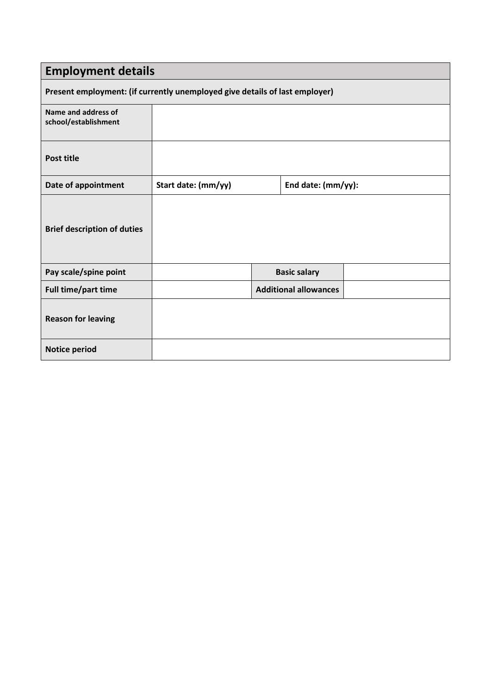| <b>Employment details</b>                                                   |                     |  |                              |  |
|-----------------------------------------------------------------------------|---------------------|--|------------------------------|--|
| Present employment: (if currently unemployed give details of last employer) |                     |  |                              |  |
| Name and address of<br>school/establishment                                 |                     |  |                              |  |
| <b>Post title</b>                                                           |                     |  |                              |  |
| Date of appointment                                                         | Start date: (mm/yy) |  | End date: (mm/yy):           |  |
| <b>Brief description of duties</b>                                          |                     |  |                              |  |
| Pay scale/spine point                                                       |                     |  | <b>Basic salary</b>          |  |
| Full time/part time                                                         |                     |  | <b>Additional allowances</b> |  |
| <b>Reason for leaving</b>                                                   |                     |  |                              |  |
| <b>Notice period</b>                                                        |                     |  |                              |  |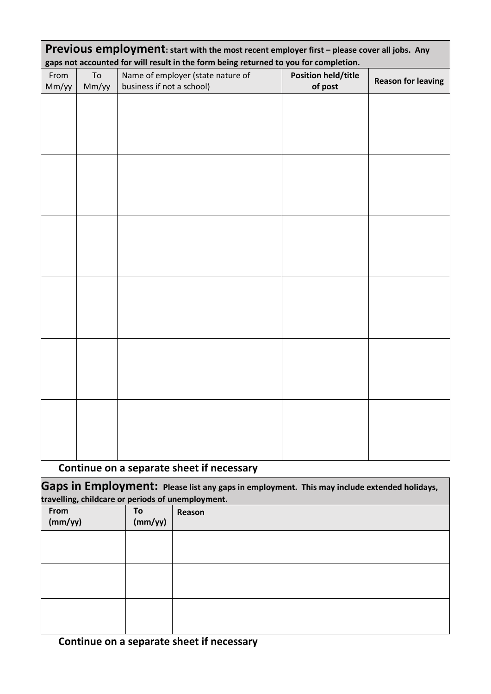| Previous employment: start with the most recent employer first - please cover all jobs. Any<br>gaps not accounted for will result in the form being returned to you for completion. |             |                                                                |                                       |                           |
|-------------------------------------------------------------------------------------------------------------------------------------------------------------------------------------|-------------|----------------------------------------------------------------|---------------------------------------|---------------------------|
| From<br>Mm/yy                                                                                                                                                                       | To<br>Mm/yy | Name of employer (state nature of<br>business if not a school) | <b>Position held/title</b><br>of post | <b>Reason for leaving</b> |
|                                                                                                                                                                                     |             |                                                                |                                       |                           |
|                                                                                                                                                                                     |             |                                                                |                                       |                           |
|                                                                                                                                                                                     |             |                                                                |                                       |                           |
|                                                                                                                                                                                     |             |                                                                |                                       |                           |
|                                                                                                                                                                                     |             |                                                                |                                       |                           |
|                                                                                                                                                                                     |             |                                                                |                                       |                           |
|                                                                                                                                                                                     |             |                                                                |                                       |                           |
|                                                                                                                                                                                     |             |                                                                |                                       |                           |
|                                                                                                                                                                                     |             |                                                                |                                       |                           |
|                                                                                                                                                                                     |             |                                                                |                                       |                           |
|                                                                                                                                                                                     |             |                                                                |                                       |                           |
|                                                                                                                                                                                     |             |                                                                |                                       |                           |
|                                                                                                                                                                                     |             |                                                                |                                       |                           |
|                                                                                                                                                                                     |             |                                                                |                                       |                           |
|                                                                                                                                                                                     |             |                                                                |                                       |                           |
|                                                                                                                                                                                     |             |                                                                |                                       |                           |
|                                                                                                                                                                                     |             |                                                                |                                       |                           |

# **Continue on a separate sheet if necessary**

Gaps in Employment: Please list any gaps in employment. This may include extended holidays, **travelling, childcare or periods of unemployment.**

| From<br>(mm/yy) | To<br>(mm/yy) | Reason |
|-----------------|---------------|--------|
|                 |               |        |
|                 |               |        |
|                 |               |        |
|                 |               |        |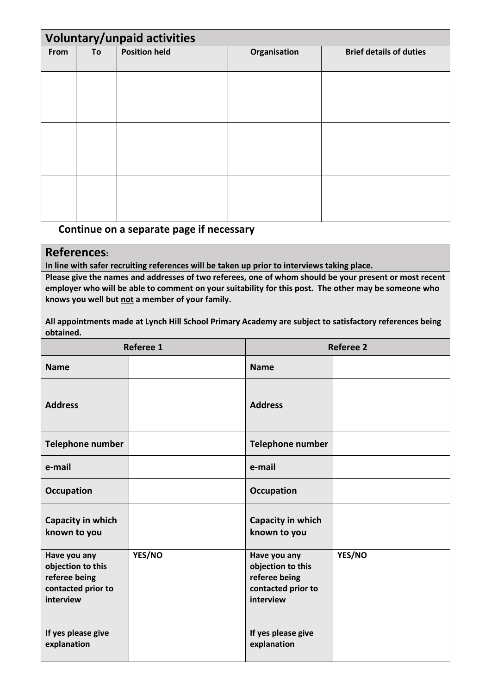| <b>Voluntary/unpaid activities</b> |    |                      |              |                                |
|------------------------------------|----|----------------------|--------------|--------------------------------|
| From                               | To | <b>Position held</b> | Organisation | <b>Brief details of duties</b> |
|                                    |    |                      |              |                                |
|                                    |    |                      |              |                                |
|                                    |    |                      |              |                                |
|                                    |    |                      |              |                                |
|                                    |    |                      |              |                                |
|                                    |    |                      |              |                                |
|                                    |    |                      |              |                                |
|                                    |    |                      |              |                                |
|                                    |    |                      |              |                                |
|                                    |    |                      |              |                                |
|                                    |    |                      |              |                                |
|                                    |    |                      |              |                                |

### **Continue on a separate page if necessary**

### **References:**

**In line with safer recruiting references will be taken up prior to interviews taking place.**

**Please give the names and addresses of two referees, one of whom should be your present or most recent employer who will be able to comment on your suitability for this post. The other may be someone who knows you well but not a member of your family.** 

**All appointments made at Lynch Hill School Primary Academy are subject to satisfactory references being obtained.**

| Referee 1                                                                             |        | <b>Referee 2</b>                                                                      |        |
|---------------------------------------------------------------------------------------|--------|---------------------------------------------------------------------------------------|--------|
| <b>Name</b>                                                                           |        | <b>Name</b>                                                                           |        |
| <b>Address</b>                                                                        |        | <b>Address</b>                                                                        |        |
| Telephone number                                                                      |        | Telephone number                                                                      |        |
| e-mail                                                                                |        | e-mail                                                                                |        |
| <b>Occupation</b>                                                                     |        | <b>Occupation</b>                                                                     |        |
| Capacity in which<br>known to you                                                     |        | Capacity in which<br>known to you                                                     |        |
| Have you any<br>objection to this<br>referee being<br>contacted prior to<br>interview | YES/NO | Have you any<br>objection to this<br>referee being<br>contacted prior to<br>interview | YES/NO |
| If yes please give<br>explanation                                                     |        | If yes please give<br>explanation                                                     |        |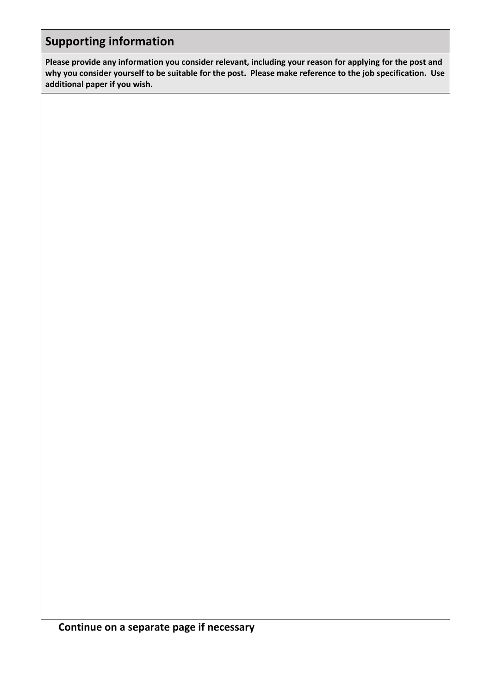## **Supporting information**

**Please provide any information you consider relevant, including your reason for applying for the post and why you consider yourself to be suitable for the post. Please make reference to the job specification. Use additional paper if you wish.**